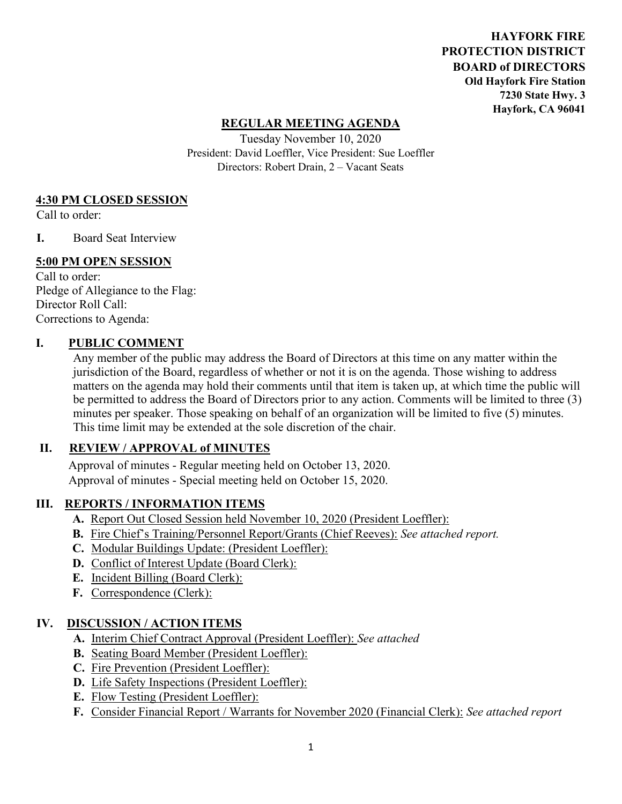**HAYFORK FIRE PROTECTION DISTRICT BOARD of DIRECTORS Old Hayfork Fire Station 7230 State Hwy. 3 Hayfork, CA 96041** 

## **REGULAR MEETING AGENDA**

Tuesday November 10, 2020 President: David Loeffler, Vice President: Sue Loeffler Directors: Robert Drain, 2 – Vacant Seats

## **4:30 PM CLOSED SESSION**

Call to order:

**I.** Board Seat Interview

## **5:00 PM OPEN SESSION**

Call to order: Pledge of Allegiance to the Flag: Director Roll Call: Corrections to Agenda:

## **I. PUBLIC COMMENT**

Any member of the public may address the Board of Directors at this time on any matter within the jurisdiction of the Board, regardless of whether or not it is on the agenda. Those wishing to address matters on the agenda may hold their comments until that item is taken up, at which time the public will be permitted to address the Board of Directors prior to any action. Comments will be limited to three (3) minutes per speaker. Those speaking on behalf of an organization will be limited to five (5) minutes. This time limit may be extended at the sole discretion of the chair.

## **II. REVIEW / APPROVAL of MINUTES**

 Approval of minutes - Regular meeting held on October 13, 2020. Approval of minutes - Special meeting held on October 15, 2020.

## **III. REPORTS / INFORMATION ITEMS**

- **A.** Report Out Closed Session held November 10, 2020 (President Loeffler):
- **B.** Fire Chief's Training/Personnel Report/Grants (Chief Reeves): *See attached report.*
- **C.** Modular Buildings Update: (President Loeffler):
- **D.** Conflict of Interest Update (Board Clerk):
- **E.** Incident Billing (Board Clerk):
- **F.** Correspondence (Clerk):

## **IV. DISCUSSION / ACTION ITEMS**

- **A.** Interim Chief Contract Approval (President Loeffler): *See attached*
- **B.** Seating Board Member (President Loeffler):
- **C.** Fire Prevention (President Loeffler):
- **D.** Life Safety Inspections (President Loeffler):
- **E.** Flow Testing (President Loeffler):
- **F.** Consider Financial Report / Warrants for November 2020 (Financial Clerk): *See attached report*